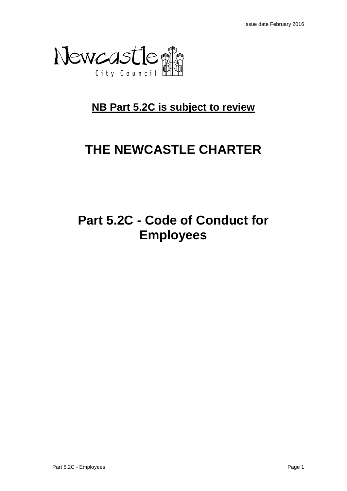

## **NB Part 5.2C is subject to review**

# **THE NEWCASTLE CHARTER**

# **Part 5.2C - Code of Conduct for Employees**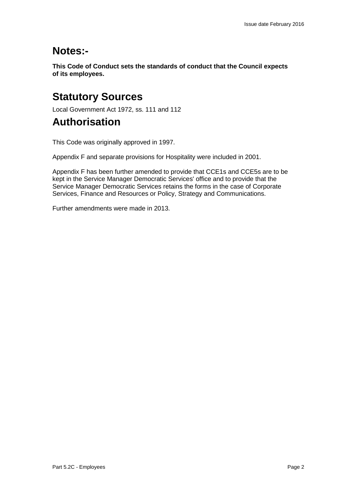## **Notes:-**

**This Code of Conduct sets the standards of conduct that the Council expects of its employees.**

## **Statutory Sources**

Local Government Act 1972, ss. 111 and 112

## **Authorisation**

This Code was originally approved in 1997.

Appendix F and separate provisions for Hospitality were included in 2001.

Appendix F has been further amended to provide that CCE1s and CCE5s are to be kept in the Service Manager Democratic Services' office and to provide that the Service Manager Democratic Services retains the forms in the case of Corporate Services, Finance and Resources or Policy, Strategy and Communications.

Further amendments were made in 2013.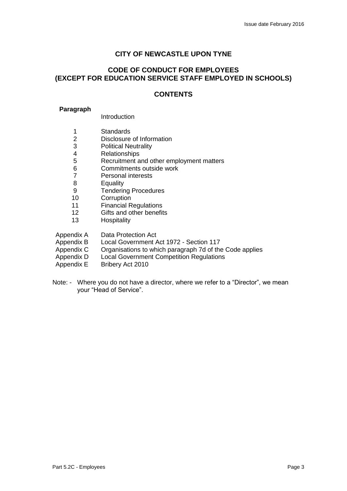#### **CITY OF NEWCASTLE UPON TYNE**

#### **CODE OF CONDUCT FOR EMPLOYEES (EXCEPT FOR EDUCATION SERVICE STAFF EMPLOYED IN SCHOOLS)**

#### **CONTENTS**

#### **Paragraph**

#### Introduction

- 1 Standards<br>2 Disclosure
- 2 Disclosure of Information<br>3 Political Neutrality
- **Political Neutrality**
- 4 Relationships<br>5 Recruitment a
- 5 Recruitment and other employment matters<br>6 Commitments outside work
- 6 Commitments outside work<br>7 Personal interests
- 7 Personal interests<br>8 Equality
- **Equality**
- 9 Tendering Procedures
- 10 Corruption
- 11 Financial Regulations
- 12 Gifts and other benefits<br>13 Hospitality
- **Hospitality**
- Appendix A Data Protection Act
- Appendix B Local Government Act 1972 Section 117
- Appendix C Organisations to which paragraph 7d of the Code applies
- Appendix D Local Government Competition Regulations<br>Appendix E Bribery Act 2010
- Bribery Act 2010
- Note: Where you do not have a director, where we refer to a "Director", we mean your "Head of Service".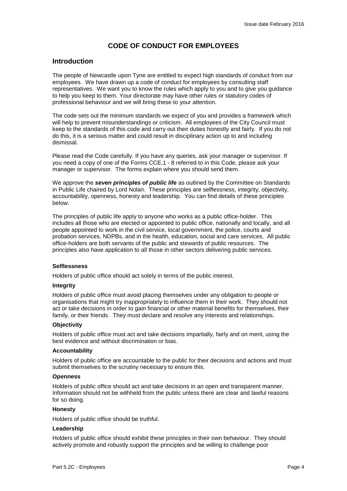#### **CODE OF CONDUCT FOR EMPLOYEES**

#### **Introduction**

The people of Newcastle upon Tyne are entitled to expect high standards of conduct from our employees. We have drawn up a code of conduct for employees by consulting staff representatives. We want you to know the rules which apply to you and to give you guidance to help you keep to them. Your directorate may have other rules or statutory codes of professional behaviour and we will bring these to your attention.

The code sets out the minimum standards we expect of you and provides a framework which will help to prevent misunderstandings or criticism. All employees of the City Council must keep to the standards of this code and carry out their duties honestly and fairly. If you do not do this, it is a serious matter and could result in disciplinary action up to and including dismissal.

Please read the Code carefully. If you have any queries, ask your manager or supervisor. If you need a copy of one of the Forms CCE.1 - 8 referred to in this Code, please ask your manager or supervisor. The forms explain where you should send them.

We approve the *seven principles of public life* as outlined by the Committee on Standards in Public Life chaired by Lord Nolan. These principles are selflessness, integrity, objectivity, accountability, openness, honesty and leadership. You can find details of these principles below.

The principles of public life apply to anyone who works as a public office-holder. This includes all those who are elected or appointed to public office, nationally and locally, and all people appointed to work in the civil service, local government, the police, courts and probation services, NDPBs, and in the health, education, social and care services. All public office-holders are both servants of the public and stewards of public resources. The principles also have application to all those in other sectors delivering public services.

#### **Selflessness**

Holders of public office should act solely in terms of the public interest.

#### **Integrity**

Holders of public office must avoid placing themselves under any obligation to people or organisations that might try inappropriately to influence them in their work. They should not act or take decisions in order to gain financial or other material benefits for themselves, their family, or their friends. They must declare and resolve any interests and relationships.

#### **Objectivity**

Holders of public office must act and take decisions impartially, fairly and on merit, using the best evidence and without discrimination or bias.

#### **Accountability**

Holders of public office are accountable to the public for their decisions and actions and must submit themselves to the scrutiny necessary to ensure this.

#### **Openness**

Holders of public office should act and take decisions in an open and transparent manner. Information should not be withheld from the public unless there are clear and lawful reasons for so doing.

#### **Honesty**

Holders of public office should be truthful.

#### **Leadership**

Holders of public office should exhibit these principles in their own behaviour. They should actively promote and robustly support the principles and be willing to challenge poor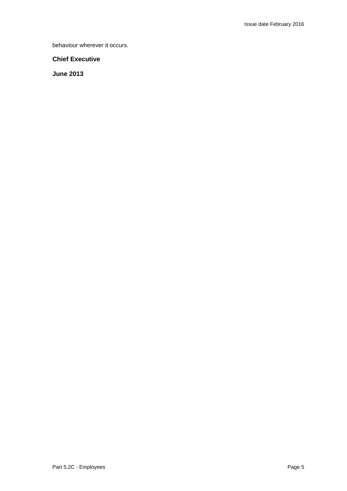behaviour wherever it occurs.

#### **Chief Executive**

**June 2013**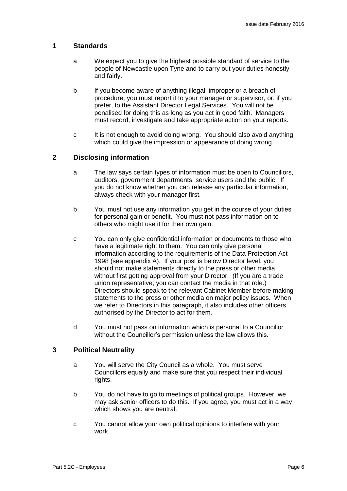#### **1 Standards**

- a We expect you to give the highest possible standard of service to the people of Newcastle upon Tyne and to carry out your duties honestly and fairly.
- b If you become aware of anything illegal, improper or a breach of procedure, you must report it to your manager or supervisor, or, if you prefer, to the Assistant Director Legal Services. You will not be penalised for doing this as long as you act in good faith. Managers must record, investigate and take appropriate action on your reports.
- c It is not enough to avoid doing wrong. You should also avoid anything which could give the impression or appearance of doing wrong.

#### **2 Disclosing information**

- a The law says certain types of information must be open to Councillors, auditors, government departments, service users and the public. If you do not know whether you can release any particular information, always check with your manager first.
- b You must not use any information you get in the course of your duties for personal gain or benefit. You must not pass information on to others who might use it for their own gain.
- c You can only give confidential information or documents to those who have a legitimate right to them. You can only give personal information according to the requirements of the Data Protection Act 1998 (see appendix A). If your post is below Director level, you should not make statements directly to the press or other media without first getting approval from your Director. (If you are a trade union representative, you can contact the media in that role.) Directors should speak to the relevant Cabinet Member before making statements to the press or other media on major policy issues. When we refer to Directors in this paragraph, it also includes other officers authorised by the Director to act for them.
- d You must not pass on information which is personal to a Councillor without the Councillor's permission unless the law allows this.

#### **3 Political Neutrality**

- a You will serve the City Council as a whole. You must serve Councillors equally and make sure that you respect their individual rights.
- b You do not have to go to meetings of political groups. However, we may ask senior officers to do this. If you agree, you must act in a way which shows you are neutral.
- c You cannot allow your own political opinions to interfere with your work.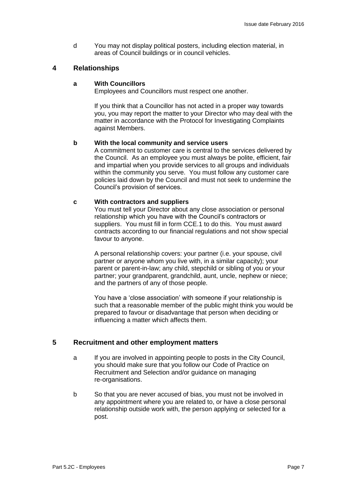d You may not display political posters, including election material, in areas of Council buildings or in council vehicles.

#### **4 Relationships**

#### **a With Councillors**

Employees and Councillors must respect one another.

If you think that a Councillor has not acted in a proper way towards you, you may report the matter to your Director who may deal with the matter in accordance with the Protocol for Investigating Complaints against Members.

#### **b With the local community and service users**

A commitment to customer care is central to the services delivered by the Council. As an employee you must always be polite, efficient, fair and impartial when you provide services to all groups and individuals within the community you serve. You must follow any customer care policies laid down by the Council and must not seek to undermine the Council's provision of services.

#### **c With contractors and suppliers**

You must tell your Director about any close association or personal relationship which you have with the Council's contractors or suppliers. You must fill in form CCE.1 to do this. You must award contracts according to our financial regulations and not show special favour to anyone.

A personal relationship covers: your partner (i.e. your spouse, civil partner or anyone whom you live with, in a similar capacity); your parent or parent-in-law; any child, stepchild or sibling of you or your partner; your grandparent, grandchild, aunt, uncle, nephew or niece; and the partners of any of those people.

You have a 'close association' with someone if your relationship is such that a reasonable member of the public might think you would be prepared to favour or disadvantage that person when deciding or influencing a matter which affects them.

#### **5 Recruitment and other employment matters**

- a If you are involved in appointing people to posts in the City Council, you should make sure that you follow our Code of Practice on Recruitment and Selection and/or guidance on managing re-organisations.
- b So that you are never accused of bias, you must not be involved in any appointment where you are related to, or have a close personal relationship outside work with, the person applying or selected for a post.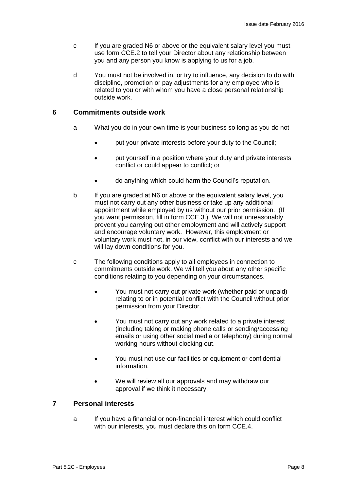- c If you are graded N6 or above or the equivalent salary level you must use form CCE.2 to tell your Director about any relationship between you and any person you know is applying to us for a job.
- d You must not be involved in, or try to influence, any decision to do with discipline, promotion or pay adjustments for any employee who is related to you or with whom you have a close personal relationship outside work.

#### **6 Commitments outside work**

- a What you do in your own time is your business so long as you do not
	- put your private interests before your duty to the Council;
	- put yourself in a position where your duty and private interests conflict or could appear to conflict; or
	- do anything which could harm the Council's reputation.
- b If you are graded at N6 or above or the equivalent salary level, you must not carry out any other business or take up any additional appointment while employed by us without our prior permission. (If you want permission, fill in form CCE.3.) We will not unreasonably prevent you carrying out other employment and will actively support and encourage voluntary work. However, this employment or voluntary work must not, in our view, conflict with our interests and we will lay down conditions for you.
- c The following conditions apply to all employees in connection to commitments outside work. We will tell you about any other specific conditions relating to you depending on your circumstances.
	- You must not carry out private work (whether paid or unpaid) relating to or in potential conflict with the Council without prior permission from your Director.
	- You must not carry out any work related to a private interest (including taking or making phone calls or sending/accessing emails or using other social media or telephony) during normal working hours without clocking out.
	- You must not use our facilities or equipment or confidential information.
	- We will review all our approvals and may withdraw our approval if we think it necessary.

#### **7 Personal interests**

a If you have a financial or non-financial interest which could conflict with our interests, you must declare this on form CCE.4.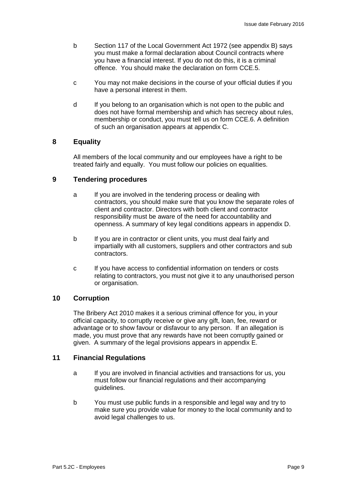- b Section 117 of the Local Government Act 1972 (see appendix B) says you must make a formal declaration about Council contracts where you have a financial interest. If you do not do this, it is a criminal offence. You should make the declaration on form CCE.5.
- c You may not make decisions in the course of your official duties if you have a personal interest in them.
- d If you belong to an organisation which is not open to the public and does not have formal membership and which has secrecy about rules, membership or conduct, you must tell us on form CCE.6. A definition of such an organisation appears at appendix C.

#### **8 Equality**

All members of the local community and our employees have a right to be treated fairly and equally. You must follow our policies on equalities.

#### **9 Tendering procedures**

- a If you are involved in the tendering process or dealing with contractors, you should make sure that you know the separate roles of client and contractor. Directors with both client and contractor responsibility must be aware of the need for accountability and openness. A summary of key legal conditions appears in appendix D.
- b If you are in contractor or client units, you must deal fairly and impartially with all customers, suppliers and other contractors and sub contractors.
- c If you have access to confidential information on tenders or costs relating to contractors, you must not give it to any unauthorised person or organisation.

#### **10 Corruption**

The Bribery Act 2010 makes it a serious criminal offence for you, in your official capacity, to corruptly receive or give any gift, loan, fee, reward or advantage or to show favour or disfavour to any person. If an allegation is made, you must prove that any rewards have not been corruptly gained or given. A summary of the legal provisions appears in appendix E.

#### **11 Financial Regulations**

- a If you are involved in financial activities and transactions for us, you must follow our financial regulations and their accompanying guidelines.
- b You must use public funds in a responsible and legal way and try to make sure you provide value for money to the local community and to avoid legal challenges to us.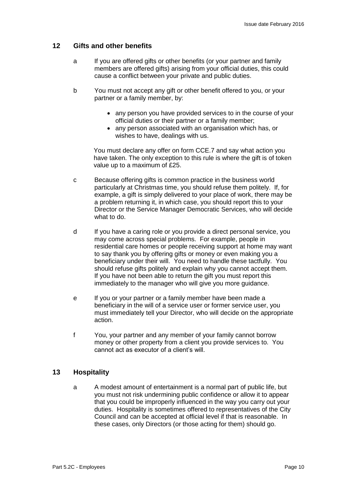#### **12 Gifts and other benefits**

- a If you are offered gifts or other benefits (or your partner and family members are offered gifts) arising from your official duties, this could cause a conflict between your private and public duties.
- b You must not accept any gift or other benefit offered to you, or your partner or a family member, by:
	- any person you have provided services to in the course of your official duties or their partner or a family member;
	- any person associated with an organisation which has, or wishes to have, dealings with us.

You must declare any offer on form CCE.7 and say what action you have taken. The only exception to this rule is where the gift is of token value up to a maximum of £25.

- c Because offering gifts is common practice in the business world particularly at Christmas time, you should refuse them politely. If, for example, a gift is simply delivered to your place of work, there may be a problem returning it, in which case, you should report this to your Director or the Service Manager Democratic Services, who will decide what to do.
- d If you have a caring role or you provide a direct personal service, you may come across special problems. For example, people in residential care homes or people receiving support at home may want to say thank you by offering gifts or money or even making you a beneficiary under their will. You need to handle these tactfully. You should refuse gifts politely and explain why you cannot accept them. If you have not been able to return the gift you must report this immediately to the manager who will give you more guidance.
- e If you or your partner or a family member have been made a beneficiary in the will of a service user or former service user, you must immediately tell your Director, who will decide on the appropriate action.
- f You, your partner and any member of your family cannot borrow money or other property from a client you provide services to. You cannot act as executor of a client's will.

#### **13 Hospitality**

a A modest amount of entertainment is a normal part of public life, but you must not risk undermining public confidence or allow it to appear that you could be improperly influenced in the way you carry out your duties. Hospitality is sometimes offered to representatives of the City Council and can be accepted at official level if that is reasonable. In these cases, only Directors (or those acting for them) should go.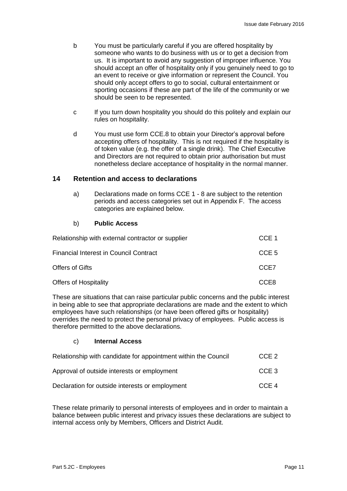- b You must be particularly careful if you are offered hospitality by someone who wants to do business with us or to get a decision from us. It is important to avoid any suggestion of improper influence. You should accept an offer of hospitality only if you genuinely need to go to an event to receive or give information or represent the Council. You should only accept offers to go to social, cultural entertainment or sporting occasions if these are part of the life of the community or we should be seen to be represented.
- c If you turn down hospitality you should do this politely and explain our rules on hospitality.
- d You must use form CCE.8 to obtain your Director's approval before accepting offers of hospitality. This is not required if the hospitality is of token value (e.g. the offer of a single drink). The Chief Executive and Directors are not required to obtain prior authorisation but must nonetheless declare acceptance of hospitality in the normal manner.

#### **14 Retention and access to declarations**

a) Declarations made on forms CCE 1 - 8 are subject to the retention periods and access categories set out in Appendix F. The access categories are explained below.

#### b) **Public Access**

| Relationship with external contractor or supplier | CCE 1            |
|---------------------------------------------------|------------------|
| <b>Financial Interest in Council Contract</b>     | CCE <sub>5</sub> |
| <b>Offers of Gifts</b>                            | CCE7             |
| <b>Offers of Hospitality</b>                      | CCE8             |

These are situations that can raise particular public concerns and the public interest in being able to see that appropriate declarations are made and the extent to which employees have such relationships (or have been offered gifts or hospitality) overrides the need to protect the personal privacy of employees. Public access is therefore permitted to the above declarations.

#### c) **Internal Access**

| Relationship with candidate for appointment within the Council | CCE <sub>2</sub> |
|----------------------------------------------------------------|------------------|
| Approval of outside interests or employment                    | CCE 3            |
| Declaration for outside interests or employment                | CCE 4            |

These relate primarily to personal interests of employees and in order to maintain a balance between public interest and privacy issues these declarations are subject to internal access only by Members, Officers and District Audit.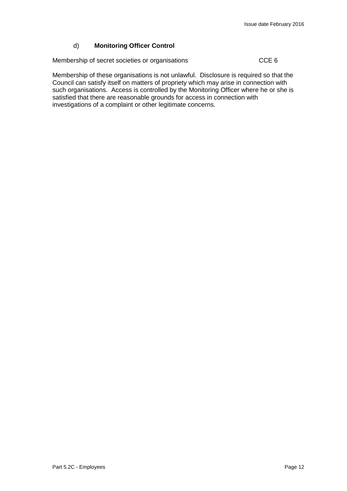#### d) **Monitoring Officer Control**

Membership of secret societies or organisations Theorem CCE 6

Membership of these organisations is not unlawful. Disclosure is required so that the Council can satisfy itself on matters of propriety which may arise in connection with such organisations. Access is controlled by the Monitoring Officer where he or she is satisfied that there are reasonable grounds for access in connection with investigations of a complaint or other legitimate concerns.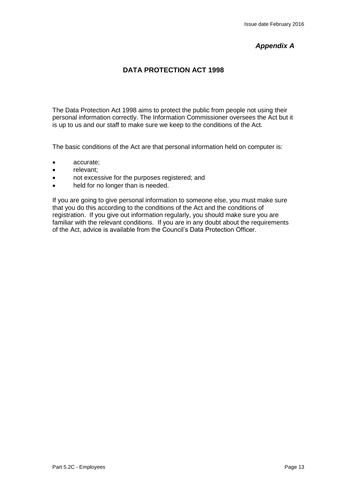## *Appendix A*

## **DATA PROTECTION ACT 1998**

The Data Protection Act 1998 aims to protect the public from people not using their personal information correctly. The Information Commissioner oversees the Act but it is up to us and our staff to make sure we keep to the conditions of the Act.

The basic conditions of the Act are that personal information held on computer is:

- accurate;
- relevant:
- not excessive for the purposes registered; and
- held for no longer than is needed.

If you are going to give personal information to someone else, you must make sure that you do this according to the conditions of the Act and the conditions of registration. If you give out information regularly, you should make sure you are familiar with the relevant conditions. If you are in any doubt about the requirements of the Act, advice is available from the Council's Data Protection Officer.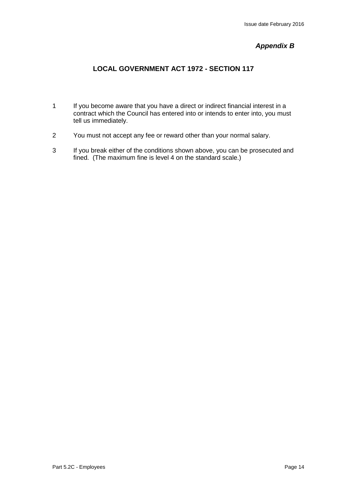### *Appendix B*

## **LOCAL GOVERNMENT ACT 1972 - SECTION 117**

- 1 If you become aware that you have a direct or indirect financial interest in a contract which the Council has entered into or intends to enter into, you must tell us immediately.
- 2 You must not accept any fee or reward other than your normal salary.
- 3 If you break either of the conditions shown above, you can be prosecuted and fined. (The maximum fine is level 4 on the standard scale.)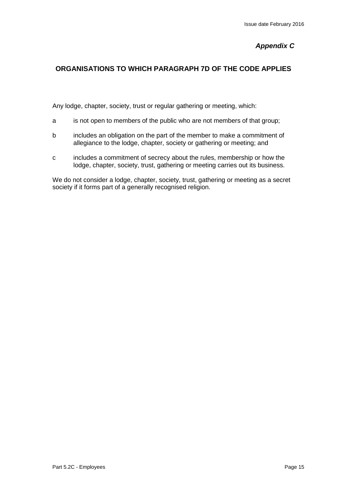## *Appendix C*

### **ORGANISATIONS TO WHICH PARAGRAPH 7D OF THE CODE APPLIES**

Any lodge, chapter, society, trust or regular gathering or meeting, which:

- a is not open to members of the public who are not members of that group;
- b includes an obligation on the part of the member to make a commitment of allegiance to the lodge, chapter, society or gathering or meeting; and
- c includes a commitment of secrecy about the rules, membership or how the lodge, chapter, society, trust, gathering or meeting carries out its business.

We do not consider a lodge, chapter, society, trust, gathering or meeting as a secret society if it forms part of a generally recognised religion.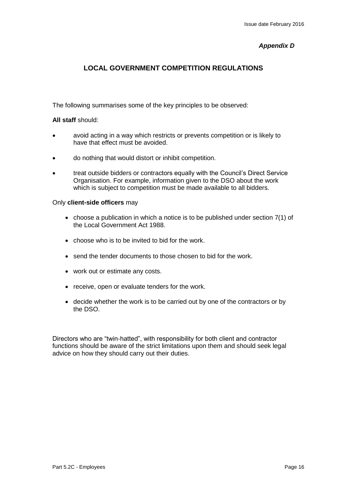#### *Appendix D*

### **LOCAL GOVERNMENT COMPETITION REGULATIONS**

The following summarises some of the key principles to be observed:

#### **All staff** should:

- avoid acting in a way which restricts or prevents competition or is likely to have that effect must be avoided.
- do nothing that would distort or inhibit competition.
- treat outside bidders or contractors equally with the Council's Direct Service Organisation. For example, information given to the DSO about the work which is subject to competition must be made available to all bidders.

#### Only **client-side officers** may

- choose a publication in which a notice is to be published under section  $7(1)$  of the Local Government Act 1988.
- choose who is to be invited to bid for the work.
- send the tender documents to those chosen to bid for the work.
- work out or estimate any costs.
- receive, open or evaluate tenders for the work.
- decide whether the work is to be carried out by one of the contractors or by the DSO.

Directors who are "twin-hatted", with responsibility for both client and contractor functions should be aware of the strict limitations upon them and should seek legal advice on how they should carry out their duties.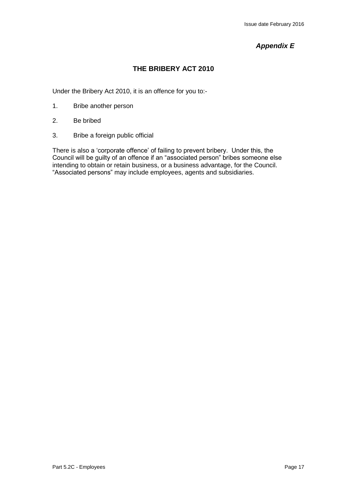## *Appendix E*

## **THE BRIBERY ACT 2010**

Under the Bribery Act 2010, it is an offence for you to:-

- 1. Bribe another person
- 2. Be bribed
- 3. Bribe a foreign public official

There is also a 'corporate offence' of failing to prevent bribery. Under this, the Council will be guilty of an offence if an "associated person" bribes someone else intending to obtain or retain business, or a business advantage, for the Council. "Associated persons" may include employees, agents and subsidiaries.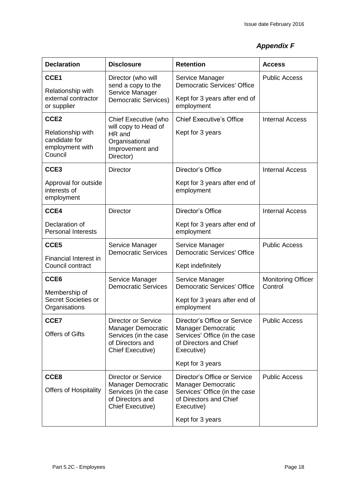## *Appendix F*

| <b>Declaration</b>                                                                   | <b>Disclosure</b>                                                                                                        | <b>Retention</b>                                                                                                                                | <b>Access</b>                        |
|--------------------------------------------------------------------------------------|--------------------------------------------------------------------------------------------------------------------------|-------------------------------------------------------------------------------------------------------------------------------------------------|--------------------------------------|
| CCE1<br>Relationship with<br>external contractor<br>or supplier                      | Director (who will<br>send a copy to the<br>Service Manager<br><b>Democratic Services)</b>                               | Service Manager<br><b>Democratic Services' Office</b><br>Kept for 3 years after end of<br>employment                                            | <b>Public Access</b>                 |
| CCE <sub>2</sub><br>Relationship with<br>candidate for<br>employment with<br>Council | Chief Executive (who<br>will copy to Head of<br>HR and<br>Organisational<br>Improvement and<br>Director)                 | <b>Chief Executive's Office</b><br>Kept for 3 years                                                                                             | <b>Internal Access</b>               |
| CCE <sub>3</sub>                                                                     | <b>Director</b>                                                                                                          | Director's Office                                                                                                                               | <b>Internal Access</b>               |
| Approval for outside<br>interests of<br>employment                                   |                                                                                                                          | Kept for 3 years after end of<br>employment                                                                                                     |                                      |
| CCE4                                                                                 | <b>Director</b>                                                                                                          | Director's Office                                                                                                                               | <b>Internal Access</b>               |
| Declaration of<br><b>Personal Interests</b>                                          |                                                                                                                          | Kept for 3 years after end of<br>employment                                                                                                     |                                      |
| CCE5<br>Financial Interest in<br>Council contract                                    | Service Manager<br><b>Democratic Services</b>                                                                            | Service Manager<br><b>Democratic Services' Office</b><br>Kept indefinitely                                                                      | <b>Public Access</b>                 |
| CCE <sub>6</sub><br>Membership of<br>Secret Societies or<br>Organisations            | Service Manager<br><b>Democratic Services</b>                                                                            | Service Manager<br><b>Democratic Services' Office</b><br>Kept for 3 years after end of<br>employment                                            | <b>Monitoring Officer</b><br>Control |
| CCE7<br><b>Offers of Gifts</b>                                                       | <b>Director or Service</b><br>Manager Democratic<br>Services (in the case<br>of Directors and<br><b>Chief Executive)</b> | Director's Office or Service<br>Manager Democratic<br>Services' Office (in the case<br>of Directors and Chief<br>Executive)<br>Kept for 3 years | <b>Public Access</b>                 |
| CCE8<br><b>Offers of Hospitality</b>                                                 | <b>Director or Service</b><br>Manager Democratic<br>Services (in the case<br>of Directors and<br><b>Chief Executive)</b> | Director's Office or Service<br>Manager Democratic<br>Services' Office (in the case<br>of Directors and Chief<br>Executive)<br>Kept for 3 years | <b>Public Access</b>                 |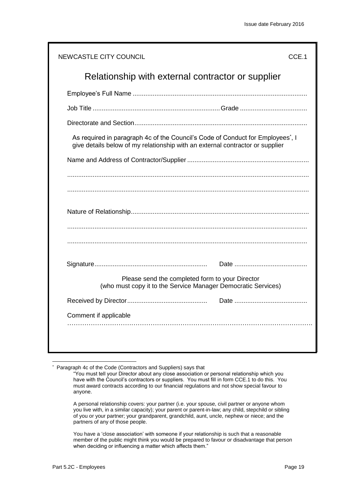| NEWCASTLE CITY COUNCIL | CCE.1                                                                                                                                                          |
|------------------------|----------------------------------------------------------------------------------------------------------------------------------------------------------------|
|                        | Relationship with external contractor or supplier                                                                                                              |
|                        |                                                                                                                                                                |
|                        |                                                                                                                                                                |
|                        |                                                                                                                                                                |
|                        | As required in paragraph 4c of the Council's Code of Conduct for Employees, I<br>give details below of my relationship with an external contractor or supplier |
|                        |                                                                                                                                                                |
|                        |                                                                                                                                                                |
|                        |                                                                                                                                                                |
|                        |                                                                                                                                                                |
|                        |                                                                                                                                                                |
|                        |                                                                                                                                                                |
|                        |                                                                                                                                                                |
|                        | Please send the completed form to your Director<br>(who must copy it to the Service Manager Democratic Services)                                               |
|                        |                                                                                                                                                                |
| Comment if applicable  |                                                                                                                                                                |
|                        |                                                                                                                                                                |
|                        |                                                                                                                                                                |

\* Paragraph 4c of the Code (Contractors and Suppliers) says that

A personal relationship covers: your partner (i.e. your spouse, civil partner or anyone whom you live with, in a similar capacity); your parent or parent-in-law; any child, stepchild or sibling of you or your partner; your grandparent, grandchild, aunt, uncle, nephew or niece; and the partners of any of those people.

You have a 'close association' with someone if your relationship is such that a reasonable member of the public might think you would be prepared to favour or disadvantage that person when deciding or influencing a matter which affects them."

<sup>&</sup>quot;You must tell your Director about any close association or personal relationship which you have with the Council's contractors or suppliers. You must fill in form CCE.1 to do this. You must award contracts according to our financial regulations and not show special favour to anyone.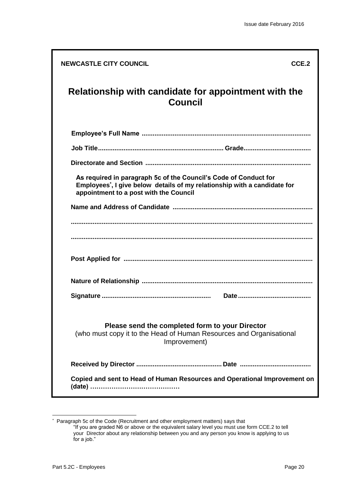| <b>NEWCASTLE CITY COUNCIL</b>                                                                                                                                                         | CCE.2 |
|---------------------------------------------------------------------------------------------------------------------------------------------------------------------------------------|-------|
| Relationship with candidate for appointment with the<br><b>Council</b>                                                                                                                |       |
|                                                                                                                                                                                       |       |
|                                                                                                                                                                                       |       |
|                                                                                                                                                                                       |       |
| As required in paragraph 5c of the Council's Code of Conduct for<br>Employees, I give below details of my relationship with a candidate for<br>appointment to a post with the Council |       |
|                                                                                                                                                                                       |       |
|                                                                                                                                                                                       |       |
|                                                                                                                                                                                       |       |
|                                                                                                                                                                                       |       |
|                                                                                                                                                                                       |       |
|                                                                                                                                                                                       |       |
| Please send the completed form to your Director<br>(who must copy it to the Head of Human Resources and Organisational<br>Improvement)                                                |       |
|                                                                                                                                                                                       |       |
| Copied and sent to Head of Human Resources and Operational Improvement on                                                                                                             |       |

 \* Paragraph 5c of the Code (Recruitment and other employment matters) says that "If you are graded N6 or above or the equivalent salary level you must use form CCE.2 to tell your Director about any relationship between you and any person you know is applying to us for a job."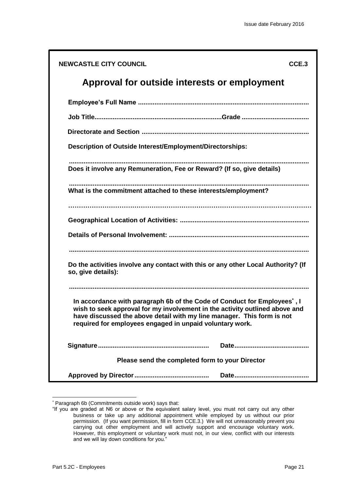| <b>NEWCASTLE CITY COUNCIL</b>                                                                                                                                                                                                                                                                 | CCE.3 |
|-----------------------------------------------------------------------------------------------------------------------------------------------------------------------------------------------------------------------------------------------------------------------------------------------|-------|
| Approval for outside interests or employment                                                                                                                                                                                                                                                  |       |
|                                                                                                                                                                                                                                                                                               |       |
|                                                                                                                                                                                                                                                                                               |       |
|                                                                                                                                                                                                                                                                                               |       |
| Description of Outside Interest/Employment/Directorships:                                                                                                                                                                                                                                     |       |
| Does it involve any Remuneration, Fee or Reward? (If so, give details)                                                                                                                                                                                                                        |       |
| What is the commitment attached to these interests/employment?                                                                                                                                                                                                                                |       |
|                                                                                                                                                                                                                                                                                               |       |
|                                                                                                                                                                                                                                                                                               |       |
|                                                                                                                                                                                                                                                                                               |       |
|                                                                                                                                                                                                                                                                                               |       |
| Do the activities involve any contact with this or any other Local Authority? (If<br>so, give details):                                                                                                                                                                                       |       |
|                                                                                                                                                                                                                                                                                               |       |
| In accordance with paragraph 6b of the Code of Conduct for Employees', I<br>wish to seek approval for my involvement in the activity outlined above and<br>have discussed the above detail with my line manager. This form is not<br>required for employees engaged in unpaid voluntary work. |       |
|                                                                                                                                                                                                                                                                                               |       |
| Please send the completed form to your Director                                                                                                                                                                                                                                               |       |
|                                                                                                                                                                                                                                                                                               |       |

<sup>-</sup>\* Paragraph 6b (Commitments outside work) says that:

<sup>&</sup>quot;If you are graded at N6 or above or the equivalent salary level, you must not carry out any other business or take up any additional appointment while employed by us without our prior permission. (If you want permission, fill in form CCE.3.) We will not unreasonably prevent you carrying out other employment and will actively support and encourage voluntary work. However, this employment or voluntary work must not, in our view, conflict with our interests and we will lay down conditions for you."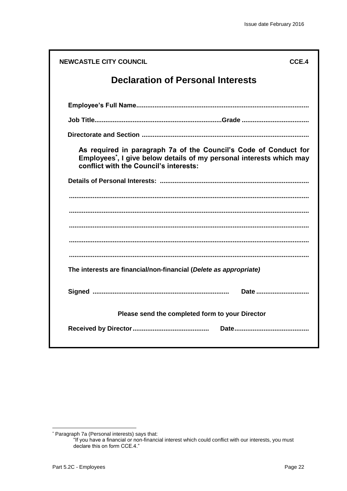| <b>NEWCASTLE CITY COUNCIL</b><br>CCE.4                                                                                                                                                         |
|------------------------------------------------------------------------------------------------------------------------------------------------------------------------------------------------|
| <b>Declaration of Personal Interests</b>                                                                                                                                                       |
|                                                                                                                                                                                                |
|                                                                                                                                                                                                |
|                                                                                                                                                                                                |
| As required in paragraph 7a of the Council's Code of Conduct for<br>Employees <sup>*</sup> , I give below details of my personal interests which may<br>conflict with the Council's interests: |
|                                                                                                                                                                                                |
|                                                                                                                                                                                                |
|                                                                                                                                                                                                |
|                                                                                                                                                                                                |
|                                                                                                                                                                                                |
|                                                                                                                                                                                                |
| The interests are financial/non-financial (Delete as appropriate)                                                                                                                              |
| Date                                                                                                                                                                                           |
| Please send the completed form to your Director                                                                                                                                                |
|                                                                                                                                                                                                |

<sup>\*</sup> Paragraph 7a (Personal interests) says that:

<sup>&</sup>quot;If you have a financial or non-financial interest which could conflict with our interests, you must declare this on form CCE.4."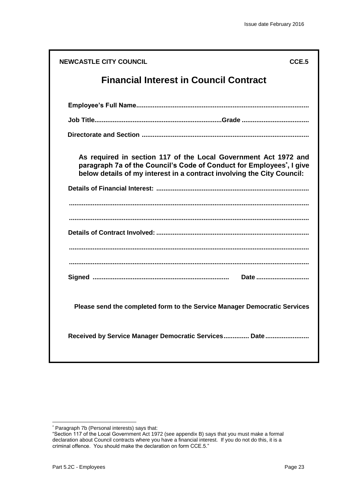| <b>NEWCASTLE CITY COUNCIL</b>                                                                                                                                                                                                  | CCE.5 |
|--------------------------------------------------------------------------------------------------------------------------------------------------------------------------------------------------------------------------------|-------|
| <b>Financial Interest in Council Contract</b>                                                                                                                                                                                  |       |
|                                                                                                                                                                                                                                |       |
|                                                                                                                                                                                                                                |       |
|                                                                                                                                                                                                                                |       |
| As required in section 117 of the Local Government Act 1972 and<br>paragraph 7a of the Council's Code of Conduct for Employees <sup>*</sup> , I give<br>below details of my interest in a contract involving the City Council: |       |
|                                                                                                                                                                                                                                |       |
|                                                                                                                                                                                                                                |       |
|                                                                                                                                                                                                                                |       |
| Date                                                                                                                                                                                                                           |       |
| Please send the completed form to the Service Manager Democratic Services                                                                                                                                                      |       |
| Received by Service Manager Democratic Services Date                                                                                                                                                                           |       |

<sup>\*</sup> Paragraph 7b (Personal interests) says that:

<sup>&</sup>quot;Section 117 of the Local Government Act 1972 (see appendix B) says that you must make a formal declaration about Council contracts where you have a financial interest. If you do not do this, it is a criminal offence. You should make the declaration on form CCE.5."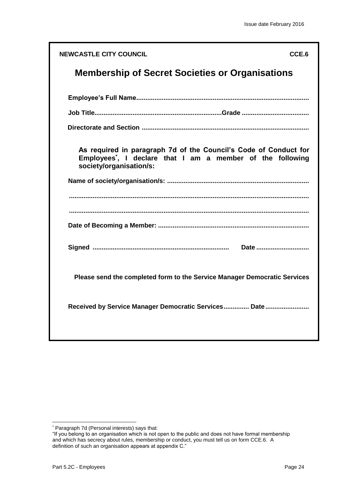| <b>NEWCASTLE CITY COUNCIL</b>                                                                                                                                         | CCE.6 |
|-----------------------------------------------------------------------------------------------------------------------------------------------------------------------|-------|
| <b>Membership of Secret Societies or Organisations</b>                                                                                                                |       |
|                                                                                                                                                                       |       |
|                                                                                                                                                                       |       |
|                                                                                                                                                                       |       |
| As required in paragraph 7d of the Council's Code of Conduct for<br>Employees <sup>*</sup> , I declare that I am a member of the following<br>society/organisation/s: |       |
|                                                                                                                                                                       |       |
|                                                                                                                                                                       |       |
|                                                                                                                                                                       |       |
| Please send the completed form to the Service Manager Democratic Services                                                                                             |       |
| Received by Service Manager Democratic Services Date                                                                                                                  |       |
|                                                                                                                                                                       |       |

<sup>\*</sup> Paragraph 7d (Personal interests) says that:

<sup>&</sup>quot;If you belong to an organisation which is not open to the public and does not have formal membership and which has secrecy about rules, membership or conduct, you must tell us on form CCE.6. A definition of such an organisation appears at appendix C."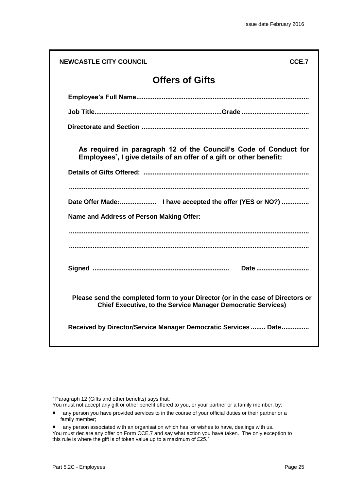| <b>NEWCASTLE CITY COUNCIL</b>            | CCE.7                                                                                                                                                  |
|------------------------------------------|--------------------------------------------------------------------------------------------------------------------------------------------------------|
|                                          | <b>Offers of Gifts</b>                                                                                                                                 |
|                                          |                                                                                                                                                        |
|                                          |                                                                                                                                                        |
|                                          |                                                                                                                                                        |
|                                          | As required in paragraph 12 of the Council's Code of Conduct for<br>Employees <sup>*</sup> , I give details of an offer of a gift or other benefit:    |
|                                          |                                                                                                                                                        |
| Name and Address of Person Making Offer: |                                                                                                                                                        |
|                                          |                                                                                                                                                        |
|                                          | Please send the completed form to your Director (or in the case of Directors or<br><b>Chief Executive, to the Service Manager Democratic Services)</b> |
|                                          | Received by Director/Service Manager Democratic Services  Date                                                                                         |

<sup>\*</sup> Paragraph 12 (Gifts and other benefits) says that:

You must not accept any gift or other benefit offered to you, or your partner or a family member, by:

any person you have provided services to in the course of your official duties or their partner or a family member;

any person associated with an organisation which has, or wishes to have, dealings with us. You must declare any offer on Form CCE.7 and say what action you have taken. The only exception to this rule is where the gift is of token value up to a maximum of £25."